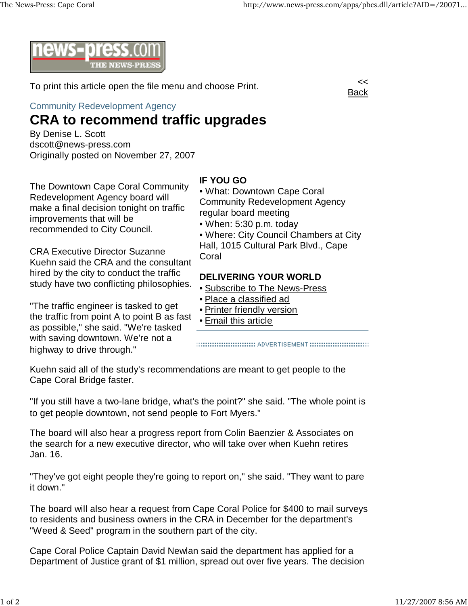

To print this article open the file menu and choose Print.

Community Redevelopment Agency

## **CRA to recommend traffic upgrades**

By Denise L. Scott dscott@news-press.com Originally posted on November 27, 2007

The Downtown Cape Coral Community Redevelopment Agency board will make a final decision tonight on traffic improvements that will be recommended to City Council.

CRA Executive Director Suzanne Kuehn said the CRA and the consultant hired by the city to conduct the traffic study have two conflicting philosophies.

"The traffic engineer is tasked to get the traffic from point A to point B as fast as possible," she said. "We're tasked with saving downtown. We're not a highway to drive through."

## **IF YOU GO**

• What: Downtown Cape Coral Community Redevelopment Agency regular board meeting

• When: 5:30 p.m. today

• Where: City Council Chambers at City Hall, 1015 Cultural Park Blvd., Cape **Coral** 

## **DELIVERING YOUR WORLD**

- Subscribe to The News-Press
- Place a classified ad
- Printer friendly version
- Email this article

Kuehn said all of the study's recommendations are meant to get people to the Cape Coral Bridge faster.

"If you still have a two-lane bridge, what's the point?" she said. "The whole point is to get people downtown, not send people to Fort Myers."

The board will also hear a progress report from Colin Baenzier & Associates on the search for a new executive director, who will take over when Kuehn retires Jan. 16.

"They've got eight people they're going to report on," she said. "They want to pare it down."

The board will also hear a request from Cape Coral Police for \$400 to mail surveys to residents and business owners in the CRA in December for the department's "Weed & Seed" program in the southern part of the city.

Cape Coral Police Captain David Newlan said the department has applied for a Department of Justice grant of \$1 million, spread out over five years. The decision

Back